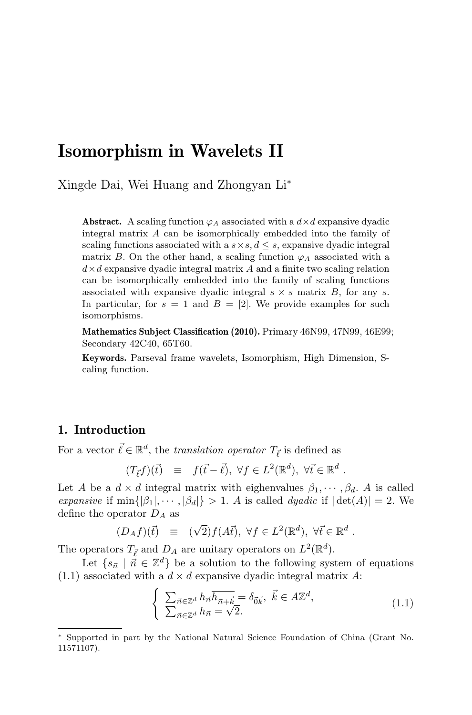# Isomorphism in Wavelets II

Xingde Dai, Wei Huang and Zhongyan Li<sup>∗</sup>

**Abstract.** A scaling function  $\varphi_A$  associated with a  $d \times d$  expansive dyadic integral matrix A can be isomorphically embedded into the family of scaling functions associated with a  $s \times s, d \leq s$ , expansive dyadic integral matrix B. On the other hand, a scaling function  $\varphi_A$  associated with a  $d \times d$  expansive dyadic integral matrix A and a finite two scaling relation can be isomorphically embedded into the family of scaling functions associated with expansive dyadic integral  $s \times s$  matrix  $B$ , for any s. In particular, for  $s = 1$  and  $B = [2]$ . We provide examples for such isomorphisms.

Mathematics Subject Classification (2010). Primary 46N99, 47N99, 46E99; Secondary 42C40, 65T60.

Keywords. Parseval frame wavelets, Isomorphism, High Dimension, Scaling function.

## 1. Introduction

For a vector  $\vec{\ell} \in \mathbb{R}^d$ , the *translation operator*  $T_{\vec{\ell}}$  is defined as

$$
(T_{\vec{\ell}}f)(\vec{t}) \equiv f(\vec{t} - \vec{\ell}), \ \forall f \in L^2(\mathbb{R}^d), \ \forall \vec{t} \in \mathbb{R}^d.
$$

Let A be a  $d \times d$  integral matrix with eighenvalues  $\beta_1, \dots, \beta_d$ . A is called expansive if  $\min\{|\beta_1|, \dots, |\beta_d|\} > 1$ . A is called dyadic if  $|\det(A)| = 2$ . We define the operator  $D_A$  as

$$
(D_A f)(\vec{t}) \equiv (\sqrt{2}) f(A\vec{t}), \ \forall f \in L^2(\mathbb{R}^d), \ \forall \vec{t} \in \mathbb{R}^d.
$$

The operators  $T_{\vec{\ell}}$  and  $D_A$  are unitary operators on  $L^2(\mathbb{R}^d)$ .

Let  $\{s_{\vec{n}} \mid \vec{n} \in \mathbb{Z}^d\}$  be a solution to the following system of equations  $(1.1)$  associated with a  $d \times d$  expansive dyadic integral matrix A:

$$
\begin{cases} \sum_{\vec{n}\in\mathbb{Z}^d} h_{\vec{n}} \overline{h_{\vec{n}+\vec{k}}}= \delta_{\vec{0}\vec{k}}, \ \vec{k}\in A\mathbb{Z}^d, \\ \sum_{\vec{n}\in\mathbb{Z}^d} h_{\vec{n}}=\sqrt{2}. \end{cases} (1.1)
$$

<sup>∗</sup> Supported in part by the National Natural Science Foundation of China (Grant No. 11571107).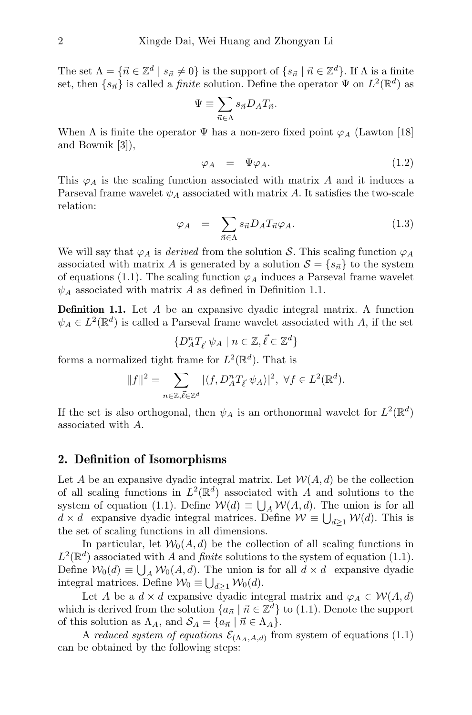The set  $\Lambda = \{ \vec{n} \in \mathbb{Z}^d \mid s_{\vec{n}} \neq 0 \}$  is the support of  $\{ s_{\vec{n}} \mid \vec{n} \in \mathbb{Z}^d \}$ . If  $\Lambda$  is a finite set, then  $\{s_{\vec{n}}\}$  is called a *finite* solution. Define the operator  $\Psi$  on  $L^2(\mathbb{R}^d)$  as

$$
\Psi\equiv\sum_{\vec{n}\in\Lambda}s_{\vec{n}}D_AT_{\vec{n}}.
$$

When  $\Lambda$  is finite the operator  $\Psi$  has a non-zero fixed point  $\varphi_A$  (Lawton [18] and Bownik [3]),

$$
\varphi_A = \Psi \varphi_A. \tag{1.2}
$$

This  $\varphi_A$  is the scaling function associated with matrix A and it induces a Parseval frame wavelet  $\psi_A$  associated with matrix A. It satisfies the two-scale relation:

$$
\varphi_A = \sum_{\vec{n} \in \Lambda} s_{\vec{n}} D_A T_{\vec{n}} \varphi_A. \tag{1.3}
$$

We will say that  $\varphi_A$  is *derived* from the solution S. This scaling function  $\varphi_A$ associated with matrix A is generated by a solution  $S = \{s_{\vec{n}}\}\$ to the system of equations (1.1). The scaling function  $\varphi_A$  induces a Parseval frame wavelet  $\psi_A$  associated with matrix A as defined in Definition 1.1.

Definition 1.1. Let A be an expansive dyadic integral matrix. A function  $\psi_A \in L^2(\mathbb{R}^d)$  is called a Parseval frame wavelet associated with A, if the set

$$
\{D_A^n T_{\vec{\ell}} \ \psi_A \mid n \in \mathbb{Z}, \vec{\ell} \in \mathbb{Z}^d\}
$$

forms a normalized tight frame for  $L^2(\mathbb{R}^d)$ . That is

$$
||f||^2 = \sum_{n \in \mathbb{Z}, \vec{\ell} \in \mathbb{Z}^d} |\langle f, D_A^n T_{\vec{\ell}} \psi_A \rangle|^2, \ \forall f \in L^2(\mathbb{R}^d).
$$

If the set is also orthogonal, then  $\psi_A$  is an orthonormal wavelet for  $L^2(\mathbb{R}^d)$ associated with A.

### 2. Definition of Isomorphisms

Let A be an expansive dyadic integral matrix. Let  $W(A, d)$  be the collection of all scaling functions in  $L^2(\mathbb{R}^d)$  associated with A and solutions to the system of equation (1.1). Define  $W(d) \equiv \bigcup_A W(A, d)$ . The union is for all  $d \times d$  expansive dyadic integral matrices. Define  $\mathcal{W} \equiv \bigcup_{d \geq 1} \mathcal{W}(d)$ . This is the set of scaling functions in all dimensions.

In particular, let  $W_0(A, d)$  be the collection of all scaling functions in  $L^2(\mathbb{R}^d)$  associated with A and finite solutions to the system of equation (1.1). Define  $W_0(d) \equiv \bigcup_A W_0(A, d)$ . The union is for all  $d \times d$  expansive dyadic integral matrices. Define  $\mathcal{W}_0 \equiv \bigcup_{d \geq 1} \mathcal{W}_0(d)$ .

Let A be a  $d \times d$  expansive dyadic integral matrix and  $\varphi_A \in \mathcal{W}(A, d)$ which is derived from the solution  ${a_{\vec{n}} \mid \vec{n} \in \mathbb{Z}^d}$  to (1.1). Denote the support of this solution as  $\Lambda_A$ , and  $\mathcal{S}_A = \{a_{\vec{n}} \mid \vec{n} \in \Lambda_A\}.$ 

A reduced system of equations  $\mathcal{E}_{(\Lambda_A, A, d)}$  from system of equations (1.1) can be obtained by the following steps: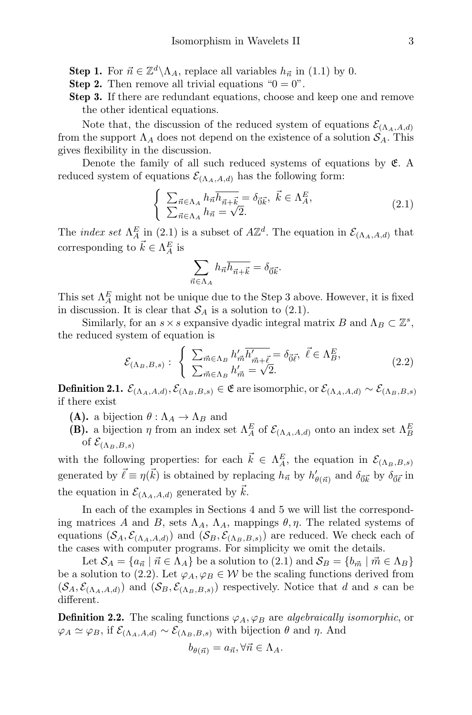- **Step 1.** For  $\vec{n} \in \mathbb{Z}^d \backslash \Lambda_A$ , replace all variables  $h_{\vec{n}}$  in (1.1) by 0.
- **Step 2.** Then remove all trivial equations " $0 = 0$ ".
- Step 3. If there are redundant equations, choose and keep one and remove the other identical equations.

Note that, the discussion of the reduced system of equations  $\mathcal{E}_{(\Lambda_4, A, d)}$ from the support  $\Lambda_A$  does not depend on the existence of a solution  $S_A$ . This gives flexibility in the discussion.

Denote the family of all such reduced systems of equations by  $E$ . A reduced system of equations  $\mathcal{E}_{(\Lambda_A, A, d)}$  has the following form:

$$
\begin{cases} \sum_{\vec{n}\in\Lambda_A} h_{\vec{n}} \overline{h_{\vec{n}+\vec{k}}}= \delta_{\vec{0}\vec{k}}, \ \vec{k}\in\Lambda_A^E, \\ \sum_{\vec{n}\in\Lambda_A} h_{\vec{n}}=\sqrt{2}. \end{cases} \tag{2.1}
$$

The *index set*  $\Lambda_A^E$  in (2.1) is a subset of  $A\mathbb{Z}^d$ . The equation in  $\mathcal{E}_{(\Lambda_A, A, d)}$  that corresponding to  $\vec{k} \in \Lambda_A^E$  is

$$
\sum_{\vec{n}\in\Lambda_A}h_{\vec{n}}\overline{h_{\vec{n}+\vec{k}}}=\delta_{\vec{0}\vec{k}}.
$$

This set  $\Lambda_A^E$  might not be unique due to the Step 3 above. However, it is fixed in discussion. It is clear that  $S_A$  is a solution to (2.1).

Similarly, for an  $s \times s$  expansive dyadic integral matrix B and  $\Lambda_B \subset \mathbb{Z}^s$ , the reduced system of equation is

$$
\mathcal{E}_{(\Lambda_B, B, s)}: \begin{cases} \sum_{\vec{m} \in \Lambda_B} h'_{\vec{m}} \overline{h'_{\vec{m}+\vec{\ell}}} = \delta_{\vec{0}\vec{\ell}}, \ \vec{\ell} \in \Lambda_B^E, \\ \sum_{\vec{m} \in \Lambda_B} h'_{\vec{m}} = \sqrt{2}. \end{cases}
$$
(2.2)

 $\textbf{Definition 2.1.} \ \mathcal{E}_{(\Lambda_A, A, d)}, \mathcal{E}_{(\Lambda_B, B, s)} \in \mathfrak{E} \text{ are isomorphic, or } \mathcal{E}_{(\Lambda_A, A, d)} \sim \mathcal{E}_{(\Lambda_B, B, s)}$ if there exist

- (A). a bijection  $\theta : \Lambda_A \to \Lambda_B$  and
- (B). a bijection  $\eta$  from an index set  $\Lambda_A^E$  of  $\mathcal{E}_{(\Lambda_A, A, d)}$  onto an index set  $\Lambda_B^E$ of  $\mathcal{E}_{(\Lambda_B,B,s)}$

with the following properties: for each  $\vec{k} \in \Lambda_A^E$ , the equation in  $\mathcal{E}_{(\Lambda_B,B,s)}$ generated by  $\vec{\ell} \equiv \eta(\vec{k})$  is obtained by replacing  $h_{\vec{n}}$  by  $h'_{\theta(\vec{n})}$  and  $\delta_{\vec{0}\vec{k}}$  by  $\delta_{\vec{0}\vec{\ell}}$  in the equation in  $\mathcal{E}_{(\Lambda_A, A, d)}$  generated by k.

In each of the examples in Sections 4 and 5 we will list the corresponding matrices A and B, sets  $\Lambda_A$ ,  $\Lambda_A$ , mappings  $\theta$ ,  $\eta$ . The related systems of equations  $(S_A, \mathcal{E}_{(\Lambda_A, A, d)})$  and  $(S_B, \mathcal{E}_{(\Lambda_B, B, s)})$  are reduced. We check each of the cases with computer programs. For simplicity we omit the details.

Let  $S_A = \{a_{\vec{n}} \mid \vec{n} \in \Lambda_A\}$  be a solution to  $(2.1)$  and  $S_B = \{b_{\vec{m}} \mid \vec{m} \in \Lambda_B\}$ be a solution to (2.2). Let  $\varphi_A, \varphi_B \in \mathcal{W}$  be the scaling functions derived from  $(S_A, \mathcal{E}_{(\Lambda_A, A, d)})$  and  $(S_B, \mathcal{E}_{(\Lambda_B, B, s)})$  respectively. Notice that d and s can be different.

**Definition 2.2.** The scaling functions  $\varphi_A$ ,  $\varphi_B$  are algebraically isomorphic, or  $\varphi_A \simeq \varphi_B$ , if  $\mathcal{E}_{(\Lambda_A, A, d)} \sim \mathcal{E}_{(\Lambda_B, B, s)}$  with bijection  $\theta$  and  $\eta$ . And

$$
b_{\theta(\vec{n})} = a_{\vec{n}}, \forall \vec{n} \in \Lambda_A.
$$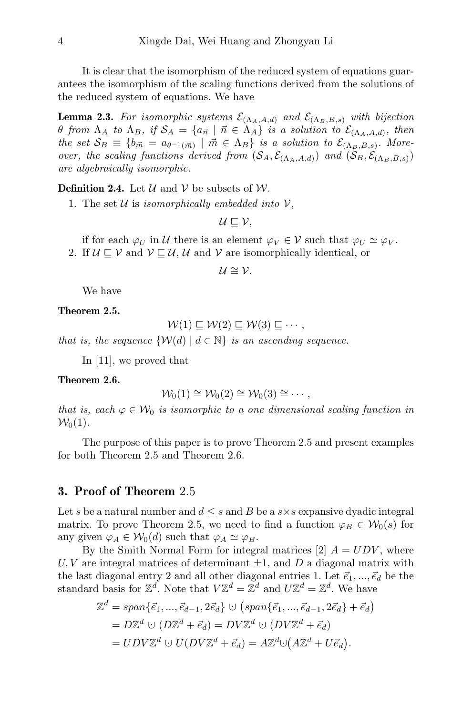It is clear that the isomorphism of the reduced system of equations guarantees the isomorphism of the scaling functions derived from the solutions of the reduced system of equations. We have

**Lemma 2.3.** For isomorphic systems  $\mathcal{E}_{(\Lambda_A, A, d)}$  and  $\mathcal{E}_{(\Lambda_B, B, s)}$  with bijection θ from  $\Lambda_A$  to  $\Lambda_B$ , if  $\mathcal{S}_A = \{a_{\vec{n}} \mid \vec{n} \in \Lambda_A\}$  is a solution to  $\mathcal{E}_{(\Lambda_A, A, d)}$ , then the set  $S_B \equiv \{b_{\vec{m}} = a_{\theta^{-1}(\vec{m})} \mid \vec{m} \in \Lambda_B\}$  is a solution to  $\mathcal{E}_{(\Lambda_B,B,s)}$ . Moreover, the scaling functions derived from  $(S_A, \mathcal{E}_{(\Lambda_A, A,d)})$  and  $(S_B, \mathcal{E}_{(\Lambda_B, B,s)})$ are algebraically isomorphic.

**Definition 2.4.** Let  $\mathcal{U}$  and  $\mathcal{V}$  be subsets of  $\mathcal{W}$ .

1. The set  $U$  is isomorphically embedded into  $V$ ,

 $U \sqsubset V$ .

if for each  $\varphi_U$  in U there is an element  $\varphi_V \in \mathcal{V}$  such that  $\varphi_U \simeq \varphi_V$ . 2. If  $U \sqsubseteq V$  and  $V \sqsubseteq U$ , U and V are isomorphically identical, or

$$
\mathcal{U}\cong\mathcal{V}.
$$

We have

Theorem 2.5.

$$
\mathcal{W}(1) \sqsubseteq \mathcal{W}(2) \sqsubseteq \mathcal{W}(3) \sqsubseteq \cdots,
$$

that is, the sequence  $\{W(d) | d \in \mathbb{N}\}\$ is an ascending sequence.

In [11], we proved that

#### Theorem 2.6.

$$
\mathcal{W}_0(1) \cong \mathcal{W}_0(2) \cong \mathcal{W}_0(3) \cong \cdots,
$$

that is, each  $\varphi \in \mathcal{W}_0$  is isomorphic to a one dimensional scaling function in  $W_0(1)$ .

The purpose of this paper is to prove Theorem 2.5 and present examples for both Theorem 2.5 and Theorem 2.6.

#### 3. Proof of Theorem 2.5

Let s be a natural number and  $d \leq s$  and B be a  $s \times s$  expansive dyadic integral matrix. To prove Theorem 2.5, we need to find a function  $\varphi_B \in \mathcal{W}_0(s)$  for any given  $\varphi_A \in \mathcal{W}_0(d)$  such that  $\varphi_A \simeq \varphi_B$ .

By the Smith Normal Form for integral matrices [2]  $A = UDV$ , where U, V are integral matrices of determinant  $\pm 1$ , and D a diagonal matrix with the last diagonal entry 2 and all other diagonal entries 1. Let  $\vec{e}_1, ..., \vec{e}_d$  be the standard basis for  $\mathbb{Z}^d$ . Note that  $V\mathbb{Z}^d = \mathbb{Z}^d$  and  $U\mathbb{Z}^d = \mathbb{Z}^d$ . We have

$$
\mathbb{Z}^d = span{\vec{e_1}, ..., \vec{e}_{d-1}, 2\vec{e}_d} \cup (span{\vec{e_1}, ..., \vec{e}_{d-1}, 2\vec{e}_d} + \vec{e}_d)
$$
  
=  $D\mathbb{Z}^d \cup (D\mathbb{Z}^d + \vec{e}_d) = DV\mathbb{Z}^d \cup (DV\mathbb{Z}^d + \vec{e}_d)$   
=  $UDV\mathbb{Z}^d \cup U(DV\mathbb{Z}^d + \vec{e}_d) = A\mathbb{Z}^d \cup (A\mathbb{Z}^d + U\vec{e}_d).$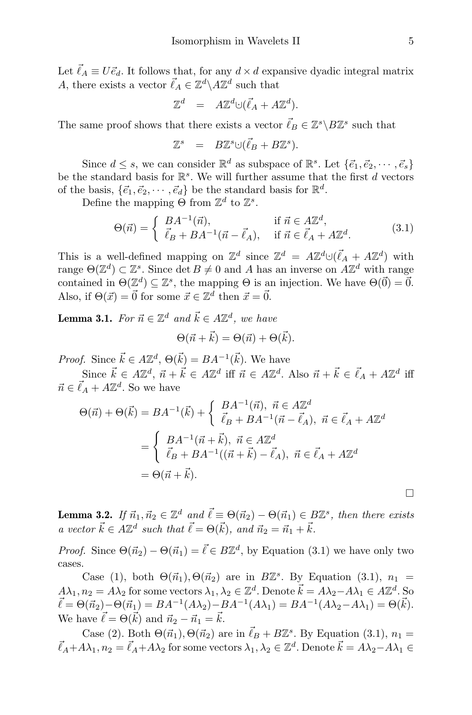Let  $\vec{\ell}_A \equiv U \vec{e}_d$ . It follows that, for any  $d \times d$  expansive dyadic integral matrix A, there exists a vector  $\vec{\ell}_A \in \mathbb{Z}^d \backslash A\mathbb{Z}^d$  such that

$$
\mathbb{Z}^d = A\mathbb{Z}^d \cup (\vec{\ell}_A + A\mathbb{Z}^d).
$$

The same proof shows that there exists a vector  $\vec{\ell}_B \in \mathbb{Z}^s \backslash B\mathbb{Z}^s$  such that

$$
\mathbb{Z}^s = B\mathbb{Z}^s \cup (\vec{\ell}_B + B\mathbb{Z}^s).
$$

Since  $d \leq s$ , we can consider  $\mathbb{R}^d$  as subspace of  $\mathbb{R}^s$ . Let  $\{\vec{e}_1, \vec{e}_2, \cdots, \vec{e}_s\}$ be the standard basis for  $\mathbb{R}^s$ . We will further assume that the first d vectors of the basis,  $\{\vec{e_1}, \vec{e_2}, \cdots, \vec{e_d}\}$  be the standard basis for  $\mathbb{R}^d$ .

Define the mapping  $\Theta$  from  $\mathbb{Z}^d$  to  $\mathbb{Z}^s$ .

$$
\Theta(\vec{n}) = \begin{cases} BA^{-1}(\vec{n}), & \text{if } \vec{n} \in A\mathbb{Z}^d, \\ \vec{\ell}_B + BA^{-1}(\vec{n} - \vec{\ell}_A), & \text{if } \vec{n} \in \vec{\ell}_A + A\mathbb{Z}^d. \end{cases}
$$
(3.1)

This is a well-defined mapping on  $\mathbb{Z}^d$  since  $\mathbb{Z}^d = A\mathbb{Z}^d \cup (\vec{\ell}_A + A\mathbb{Z}^d)$  with range  $\Theta(\mathbb{Z}^d) \subset \mathbb{Z}^s$ . Since  $\det B \neq 0$  and A has an inverse on  $A\mathbb{Z}^d$  with range contained in  $\Theta(\mathbb{Z}^d) \subseteq \mathbb{Z}^s$ , the mapping  $\Theta$  is an injection. We have  $\Theta(\vec{0}) = \vec{0}$ . Also, if  $\Theta(\vec{x}) = \vec{0}$  for some  $\vec{x} \in \mathbb{Z}^d$  then  $\vec{x} = \vec{0}$ .

**Lemma 3.1.** For  $\vec{n} \in \mathbb{Z}^d$  and  $\vec{k} \in A\mathbb{Z}^d$ , we have

$$
\Theta(\vec{n} + \vec{k}) = \Theta(\vec{n}) + \Theta(\vec{k}).
$$

*Proof.* Since  $\vec{k} \in A\mathbb{Z}^d$ ,  $\Theta(\vec{k}) = BA^{-1}(\vec{k})$ . We have

Since  $\vec{k} \in A\mathbb{Z}^d$ ,  $\vec{n} + \vec{k} \in A\mathbb{Z}^d$  iff  $\vec{n} \in A\mathbb{Z}^d$ . Also  $\vec{n} + \vec{k} \in \vec{\ell}_A + A\mathbb{Z}^d$  iff  $\vec{n} \in \vec{\ell}_A + A\mathbb{Z}^d$ . So we have

$$
\Theta(\vec{n}) + \Theta(\vec{k}) = BA^{-1}(\vec{k}) + \begin{cases} BA^{-1}(\vec{n}), \ \vec{n} \in A\mathbb{Z}^d \\ \vec{\ell}_B + BA^{-1}(\vec{n} - \vec{\ell}_A), \ \vec{n} \in \vec{\ell}_A + A\mathbb{Z}^d \end{cases}
$$

$$
= \begin{cases} BA^{-1}(\vec{n} + \vec{k}), \ \vec{n} \in A\mathbb{Z}^d \\ \vec{\ell}_B + BA^{-1}((\vec{n} + \vec{k}) - \vec{\ell}_A), \ \vec{n} \in \vec{\ell}_A + A\mathbb{Z}^d \end{cases}
$$

$$
= \Theta(\vec{n} + \vec{k}).
$$

**Lemma 3.2.** If  $\vec{n}_1, \vec{n}_2 \in \mathbb{Z}^d$  and  $\vec{\ell} \equiv \Theta(\vec{n}_2) - \Theta(\vec{n}_1) \in B\mathbb{Z}^s$ , then there exists a vector  $\vec{k} \in A\mathbb{Z}^d$  such that  $\vec{\ell} = \Theta(\vec{k})$ , and  $\vec{n}_2 = \vec{n}_1 + \vec{k}$ .

*Proof.* Since  $\Theta(\vec{n}_2) - \Theta(\vec{n}_1) = \vec{\ell} \in B\mathbb{Z}^d$ , by Equation (3.1) we have only two cases.

Case (1), both  $\Theta(\vec{n}_1), \Theta(\vec{n}_2)$  are in  $B\mathbb{Z}^s$ . By Equation (3.1),  $n_1 =$  $A\lambda_1, n_2 = A\lambda_2$  for some vectors  $\lambda_1, \lambda_2 \in \mathbb{Z}^d$ . Denote  $\vec{k} = A\lambda_2 - A\lambda_1 \in A\mathbb{Z}^d$ . So  $\vec{\ell} = \Theta(\vec{n}_2) - \Theta(\vec{n}_1) = BA^{-1}(A\lambda_2) - BA^{-1}(A\lambda_1) = BA^{-1}(A\lambda_2 - A\lambda_1) = \Theta(\vec{k}).$ We have  $\vec{\ell} = \Theta(\vec{k})$  and  $\vec{n}_2 - \vec{n}_1 = \vec{k}$ .

Case (2). Both  $\Theta(\vec{n}_1), \Theta(\vec{n}_2)$  are in  $\vec{\ell}_B + B\mathbb{Z}^s$ . By Equation (3.1),  $n_1 =$  $\vec{\ell}_A + A\lambda_1, n_2 = \vec{\ell}_A + A\lambda_2$  for some vectors  $\lambda_1, \lambda_2 \in \mathbb{Z}^d$ . Denote  $\vec{k} = A\lambda_2 - A\lambda_1 \in$ 

 $\Box$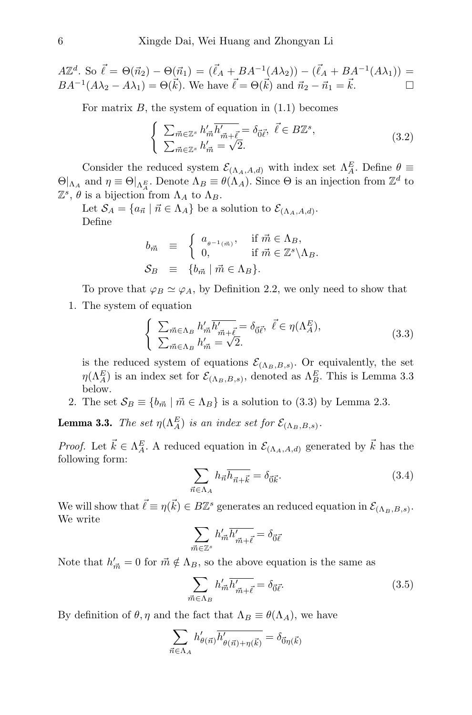$A\mathbb{Z}^d$ . So  $\vec{\ell} = \Theta(\vec{n}_2) - \Theta(\vec{n}_1) = (\vec{\ell}_A + BA^{-1}(A\lambda_2)) - (\vec{\ell}_A + BA^{-1}(A\lambda_1)) =$  $BA^{-1}(A\lambda_2 - A\lambda_1) = \Theta(\vec{k})$ . We have  $\vec{\ell} = \Theta(\vec{k})$  and  $\vec{n}_2 - \vec{n}_1 = \vec{k}$ .

For matrix  $B$ , the system of equation in  $(1.1)$  becomes

$$
\begin{cases}\n\sum_{\vec{m}\in\mathbb{Z}^s} h'_{\vec{m}} \overline{h'_{\vec{m}+\vec{\ell}}} = \delta_{\vec{0}\vec{\ell}}, \ \vec{\ell} \in B\mathbb{Z}^s, \\
\sum_{\vec{m}\in\mathbb{Z}^s} h'_{\vec{m}} = \sqrt{2}.\n\end{cases}
$$
\n(3.2)

Consider the reduced system  $\mathcal{E}_{(\Lambda_A, A, d)}$  with index set  $\Lambda_A^E$ . Define  $\theta \equiv$  $\Theta|_{\Lambda_A}$  and  $\eta \equiv \Theta|_{\Lambda_A^E}$ . Denote  $\Lambda_B \equiv \theta(\Lambda_A)$ . Since  $\Theta$  is an injection from  $\mathbb{Z}^d$  to  $\mathbb{Z}^s$ ,  $\theta$  is a bijection from  $\Lambda_A$  to  $\Lambda_B$ .

Let  $\mathcal{S}_A = \{a_{\vec{n}} \mid \vec{n} \in \Lambda_A\}$  be a solution to  $\mathcal{E}_{(\Lambda_A, A, d)}$ . Define

$$
b_{\vec{m}} \equiv \begin{cases} a_{\theta^{-1}(\vec{m})}, & \text{if } \vec{m} \in \Lambda_B, \\ 0, & \text{if } \vec{m} \in \mathbb{Z}^s \backslash \Lambda_B. \end{cases}
$$
  

$$
\mathcal{S}_B \equiv \{b_{\vec{m}} \mid \vec{m} \in \Lambda_B\}.
$$

To prove that  $\varphi_B \simeq \varphi_A$ , by Definition 2.2, we only need to show that 1. The system of equation

$$
\begin{cases}\n\sum_{\vec{m}\in\Lambda_B} h'_{\vec{m}} \overline{h'_{\vec{m}+\vec{\ell}}} = \delta_{\vec{0}\vec{\ell}}, \ \vec{\ell}\in\eta(\Lambda_A^E), \\
\sum_{\vec{m}\in\Lambda_B} h'_{\vec{m}} = \sqrt{2}.\n\end{cases}
$$
\n(3.3)

is the reduced system of equations  $\mathcal{E}_{(\Lambda_B,B,s)}$ . Or equivalently, the set  $\eta(\Lambda_A^E)$  is an index set for  $\mathcal{E}_{(\Lambda_B,B,s)}$ , denoted as  $\Lambda_B^E$ . This is Lemma 3.3 below.

2. The set  $S_B \equiv \{b_{\vec{m}} \mid \vec{m} \in \Lambda_B\}$  is a solution to (3.3) by Lemma 2.3.

**Lemma 3.3.** The set  $\eta(\Lambda_A^E)$  is an index set for  $\mathcal{E}_{(\Lambda_B,B,s)}$ .

*Proof.* Let  $\vec{k} \in \Lambda_A^E$ . A reduced equation in  $\mathcal{E}_{(\Lambda_A, A, d)}$  generated by  $\vec{k}$  has the following form:

$$
\sum_{\vec{n}\in\Lambda_A}h_{\vec{n}}\overline{h_{\vec{n}+\vec{k}}}=\delta_{\vec{0}\vec{k}}.\tag{3.4}
$$

We will show that  $\vec{\ell} \equiv \eta(\vec{k}) \in B\mathbb{Z}^s$  generates an reduced equation in  $\mathcal{E}_{(\Lambda_B,B,s)}$ . We write

$$
\sum_{\vec{m}\in\mathbb{Z}^s}h'_{\vec{m}}\overline{h'_{\vec{m}+\vec{\ell}}}=\delta_{\vec{0}\vec{\ell}}
$$

Note that  $h'_{\vec{m}} = 0$  for  $\vec{m} \notin \Lambda_B$ , so the above equation is the same as

$$
\sum_{\vec{m}\in\Lambda_B} h'_{\vec{m}} \overline{h'_{\vec{m}+\vec{\ell}}} = \delta_{\vec{0}\vec{\ell}}.\tag{3.5}
$$

By definition of  $\theta$ ,  $\eta$  and the fact that  $\Lambda_B \equiv \theta(\Lambda_A)$ , we have

$$
\sum_{\vec{n}\in\Lambda_A} h'_{\theta(\vec{n})} \overline{h'_{\theta(\vec{n})+\eta(\vec{k})}} = \delta_{\vec{0}\eta(\vec{k})}
$$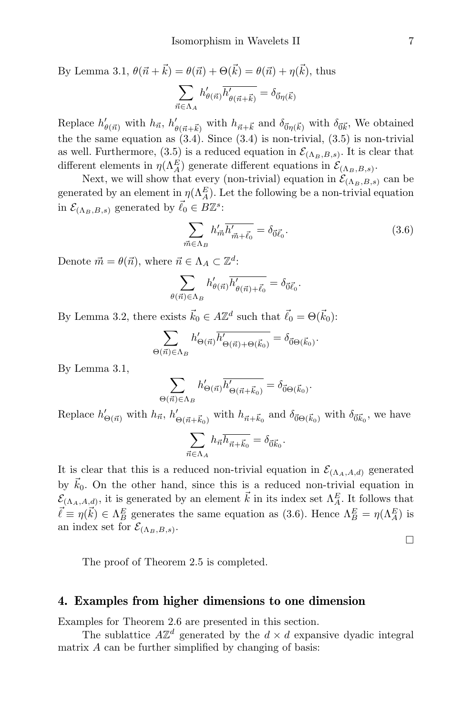By Lemma 3.1, 
$$
\theta(\vec{n} + \vec{k}) = \theta(\vec{n}) + \Theta(\vec{k}) = \theta(\vec{n}) + \eta(\vec{k})
$$
, thus  
\n
$$
\sum_{\vec{n} \in \Lambda_A} h'_{\theta(\vec{n})} \overline{h'_{\theta(\vec{n} + \vec{k})}} = \delta_{\vec{0}\eta(\vec{k})}
$$

Replace  $h'_{\theta(\vec{n})}$  with  $h_{\vec{n}}, h'_{\theta(\vec{n}+\vec{k})}$  with  $h_{\vec{n}+\vec{k}}$  and  $\delta_{\vec{0}\eta(\vec{k})}$  with  $\delta_{\vec{0}\vec{k}}$ , We obtained the the same equation as  $(3.4)$ . Since  $(3.4)$  is non-trivial,  $(3.5)$  is non-trivial as well. Furthermore, (3.5) is a reduced equation in  $\mathcal{E}_{(\Lambda_B,B,s)}$ . It is clear that different elements in  $\eta(\Lambda_A^E)$  generate different equations in  $\mathcal{E}_{(\Lambda_B,B,s)}$ .

Next, we will show that every (non-trivial) equation in  $\mathcal{E}_{(\Lambda_B,B,s)}$  can be generated by an element in  $\eta(\Lambda_A^E)$ . Let the following be a non-trivial equation in  $\mathcal{E}_{(\Lambda_B,B,s)}$  generated by  $\vec{\ell}_0 \in B\mathbb{Z}^s$ :

$$
\sum_{\vec{m}\in\Lambda_B} h'_{\vec{m}} \overline{h'_{\vec{m}+\vec{\ell_0}}} = \delta_{\vec{0}\vec{\ell_0}}.\tag{3.6}
$$

Denote  $\vec{m} = \theta(\vec{n})$ , where  $\vec{n} \in \Lambda_A \subset \mathbb{Z}^d$ :

$$
\sum_{\theta(\vec{n}) \in \Lambda_B} h'_{\theta(\vec{n})} \overline{h'_{\theta(\vec{n}) + \vec{\ell_0}}} = \delta_{\vec{0}\vec{\ell_0}}.
$$

By Lemma 3.2, there exists  $\vec{k}_0 \in A \mathbb{Z}^d$  such that  $\vec{\ell}_0 = \Theta(\vec{k}_0)$ :

$$
\sum_{\Theta(\vec{n}) \in \Lambda_B} h'_{\Theta(\vec{n})} \overline{h'_{\Theta(\vec{n}) + \Theta(\vec{k}_0)}} = \delta_{\vec{0} \Theta(\vec{k}_0)}.
$$

By Lemma 3.1,

$$
\sum_{\Theta(\vec{n}) \in \Lambda_B} h'_{\Theta(\vec{n})} \overline{h'_{\Theta(\vec{n} + \vec{k}_0)}} = \delta_{\vec{0} \Theta(\vec{k}_0)}.
$$

Replace  $h'_{\Theta(\vec{n})}$  with  $h_{\vec{n}}, h'_{\Theta(\vec{n}+\vec{k}_0)}$  with  $h_{\vec{n}+\vec{k}_0}$  and  $\delta_{\vec{0}\Theta(\vec{k}_0)}$  with  $\delta_{\vec{0}\vec{k}_0}$ , we have  $\sum$  $\vec{n} \in \Lambda_A$  $h_{\vec{n}} h_{\vec{n} + \vec{k}_0} = \delta_{\vec{0}\vec{k}_0}$ .

It is clear that this is a reduced non-trivial equation in  $\mathcal{E}_{(\Lambda_A, A, d)}$  generated by  $\vec{k}_0$ . On the other hand, since this is a reduced non-trivial equation in  $\mathcal{E}_{(\Lambda_A, A, d)}$ , it is generated by an element  $\vec{k}$  in its index set  $\Lambda_A^E$ . It follows that  $\vec{\ell} \equiv \eta(\vec{k}) \in \Lambda_B^E$  generates the same equation as (3.6). Hence  $\Lambda_B^E = \eta(\Lambda_A^E)$  is an index set for  $\mathcal{E}_{(\Lambda_B,B,s)}$ .

 $\Box$ 

The proof of Theorem 2.5 is completed.

#### 4. Examples from higher dimensions to one dimension

Examples for Theorem 2.6 are presented in this section.

The sublattice  $A\mathbb{Z}^d$  generated by the  $d \times d$  expansive dyadic integral matrix A can be further simplified by changing of basis: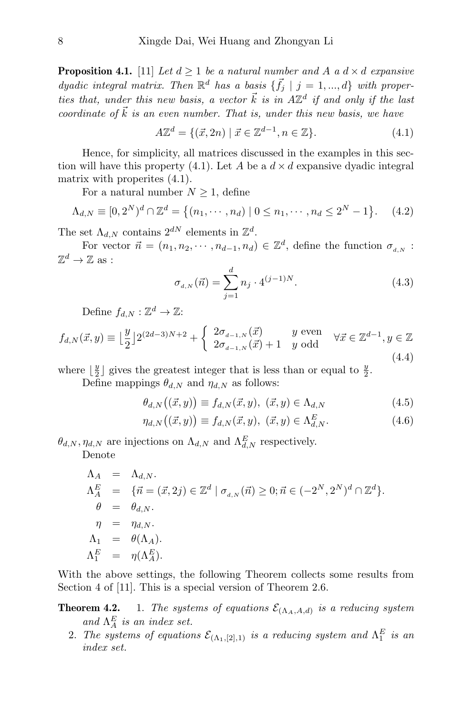**Proposition 4.1.** [11] Let  $d \geq 1$  be a natural number and A a  $d \times d$  expansive dyadic integral matrix. Then  $\mathbb{R}^d$  has a basis  $\{\vec{f}_j \mid j = 1, ..., d\}$  with properties that, under this new basis, a vector  $\vec{k}$  is in  $A\mathbb{Z}^d$  if and only if the last coordinate of  $\vec{k}$  is an even number. That is, under this new basis, we have

$$
A\mathbb{Z}^{d} = \{ (\vec{x}, 2n) \mid \vec{x} \in \mathbb{Z}^{d-1}, n \in \mathbb{Z} \}. \tag{4.1}
$$

Hence, for simplicity, all matrices discussed in the examples in this section will have this property (4.1). Let A be a  $d \times d$  expansive dyadic integral matrix with properites (4.1).

For a natural number  $N \geq 1$ , define

$$
\Lambda_{d,N} \equiv [0, 2^N)^d \cap \mathbb{Z}^d = \{(n_1, \cdots, n_d) \mid 0 \le n_1, \cdots, n_d \le 2^N - 1\}.
$$
 (4.2)

The set  $\Lambda_{d,N}$  contains  $2^{dN}$  elements in  $\mathbb{Z}^d$ .

For vector  $\vec{n} = (n_1, n_2, \dots, n_{d-1}, n_d) \in \mathbb{Z}^d$ , define the function  $\sigma_{d,N}$ :  $\mathbb{Z}^d \to \mathbb{Z}$  as :

$$
\sigma_{d,N}(\vec{n}) = \sum_{j=1}^{d} n_j \cdot 4^{(j-1)N}.
$$
\n(4.3)

Define  $f_{d,N} : \mathbb{Z}^d \to \mathbb{Z}$ :

$$
f_{d,N}(\vec{x},y) \equiv \left\lfloor \frac{y}{2} \right\rfloor 2^{(2d-3)N+2} + \begin{cases} 2\sigma_{d-1,N}(\vec{x}) & y \text{ even} \\ 2\sigma_{d-1,N}(\vec{x}) + 1 & y \text{ odd} \end{cases} \quad \forall \vec{x} \in \mathbb{Z}^{d-1}, y \in \mathbb{Z}
$$
\n
$$
(4.4)
$$

where  $\lfloor \frac{y}{2} \rfloor$  gives the greatest integer that is less than or equal to  $\frac{y}{2}$ .

Define mappings  $\theta_{d,N}$  and  $\eta_{d,N}$  as follows:

$$
\theta_{d,N}(\vec{x},y)\equiv f_{d,N}(\vec{x},y),\ (\vec{x},y)\in\Lambda_{d,N}\tag{4.5}
$$

$$
\eta_{d,N}(\left(\vec{x},y\right)) \equiv f_{d,N}(\vec{x},y), \; (\vec{x},y) \in \Lambda_{d,N}^E. \tag{4.6}
$$

 $\theta_{d,N}, \eta_{d,N}$  are injections on  $\Lambda_{d,N}$  and  $\Lambda_{d,N}^E$  respectively.

Denote

$$
\begin{aligned}\n\Lambda_A &= \Lambda_{d,N}.\n\Lambda_A^E &= \{\vec{n} = (\vec{x}, 2j) \in \mathbb{Z}^d \mid \sigma_{d,N}(\vec{n}) \ge 0; \vec{n} \in (-2^N, 2^N)^d \cap \mathbb{Z}^d\}.\n\theta &= \theta_{d,N}.\n\eta &= \eta_{d,N}.\n\Lambda_1 &= \theta(\Lambda_A).\n\Lambda_1^E &= \eta(\Lambda_A^E).\n\end{aligned}
$$

With the above settings, the following Theorem collects some results from Section 4 of [11]. This is a special version of Theorem 2.6.

**Theorem 4.2.** 1. The systems of equations  $\mathcal{E}_{(\Lambda_A, A, d)}$  is a reducing system and  $\Lambda_A^E$  is an index set.

2. The systems of equations  $\mathcal{E}_{(\Lambda_1,[2],1)}$  is a reducing system and  $\Lambda_1^E$  is an index set.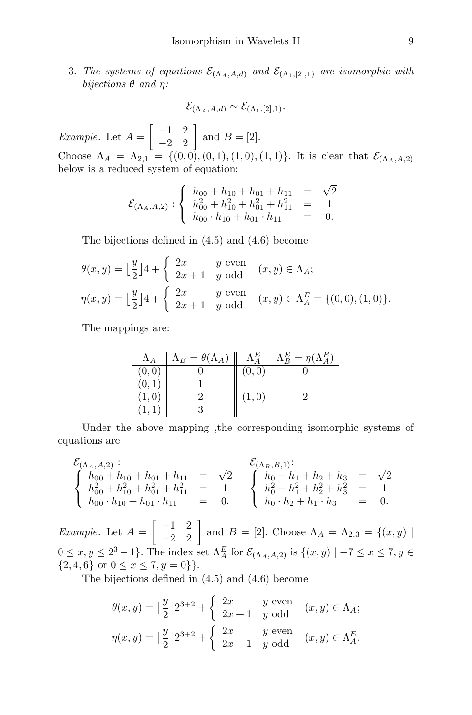3. The systems of equations  $\mathcal{E}_{(\Lambda_A, A, d)}$  and  $\mathcal{E}_{(\Lambda_1, [2], 1)}$  are isomorphic with bijections  $\theta$  and  $\eta$ :

*Example.* Let  $A = \begin{bmatrix} -1 & 2 \\ -2 & 2 \end{bmatrix}$  and  $B = [2]$ . Choose  $\Lambda_A = \Lambda_{2,1} = \{(0,0), (0,1), (1,0), (1,1)\}$ . It is clear that  $\mathcal{E}_{(\Lambda_A, A, 2)}$ below is a reduced system of equation:

 $\mathcal{E}_{(\Lambda_A, A, d)} \sim \mathcal{E}_{(\Lambda_1, [2], 1)}.$ 

$$
\mathcal{E}_{(\Lambda_A, A, 2)}: \begin{cases} h_{00} + h_{10} + h_{01} + h_{11} = \sqrt{2} \\ h_{00}^2 + h_{10}^2 + h_{01}^2 + h_{11}^2 = 1 \\ h_{00} \cdot h_{10} + h_{01} \cdot h_{11} = 0. \end{cases}
$$

The bijections defined in (4.5) and (4.6) become

$$
\theta(x,y) = \left\lfloor \frac{y}{2} \right\rfloor 4 + \begin{cases} 2x & y \text{ even} \\ 2x+1 & y \text{ odd} \end{cases} (x,y) \in \Lambda_A;
$$
  

$$
\eta(x,y) = \left\lfloor \frac{y}{2} \right\rfloor 4 + \begin{cases} 2x & y \text{ even} \\ 2x+1 & y \text{ odd} \end{cases} (x,y) \in \Lambda_A^E = \{(0,0), (1,0)\}.
$$

The mappings are:

| $\Lambda_A$ | $\Lambda_B = \theta(\Lambda_A)$ | $\Lambda_4^E$ | $\Lambda_B^E = \eta(\Lambda_A^E)$ |
|-------------|---------------------------------|---------------|-----------------------------------|
| (0,0)       |                                 |               |                                   |
| (0,         |                                 |               |                                   |
| (1, 0)      |                                 | (1,0)         |                                   |
|             |                                 |               |                                   |

Under the above mapping ,the corresponding isomorphic systems of equations are

$$
\begin{cases}\n\mathcal{E}_{(\Lambda_A, A, 2)}: & \mathcal{E}_{(\Lambda_B, B, 1)}: \\
h_{00} + h_{10} + h_{01} + h_{11} = \sqrt{2} \\
h_{00}^2 + h_{10}^2 + h_{01}^2 + h_{11}^2 = 1 \\
h_{00} \cdot h_{10} + h_{01} \cdot h_{11} = 0.\n\end{cases}\n\begin{cases}\n\mathcal{E}_{(\Lambda_B, B, 1)}: \\
h_0 + h_1 + h_2 + h_3 = \sqrt{2} \\
h_0^2 + h_1^2 + h_2^2 + h_3^2 = 1 \\
h_0 \cdot h_2 + h_1 \cdot h_3 = 0.\n\end{cases}
$$

*Example.* Let  $A = \begin{bmatrix} -1 & 2 \\ -2 & 2 \end{bmatrix}$  and  $B = [2]$ . Choose  $\Lambda_A = \Lambda_{2,3} = \{(x, y) \mid$  $0 \le x, y \le 2^3 - 1$ . The index set  $\Lambda_A^E$  for  $\mathcal{E}_{(\Lambda_A, A, 2)}$  is  $\{(x, y) \mid -7 \le x \le 7, y \in$  ${2, 4, 6}$  or  $0 \le x \le 7, y = 0$ }.

The bijections defined in (4.5) and (4.6) become

$$
\theta(x,y) = \left\lfloor \frac{y}{2} \right\rfloor 2^{3+2} + \begin{cases} 2x & y \text{ even} \\ 2x+1 & y \text{ odd} \end{cases} (x,y) \in \Lambda_A;
$$
  

$$
\eta(x,y) = \left\lfloor \frac{y}{2} \right\rfloor 2^{3+2} + \begin{cases} 2x & y \text{ even} \\ 2x+1 & y \text{ odd} \end{cases} (x,y) \in \Lambda_A^E.
$$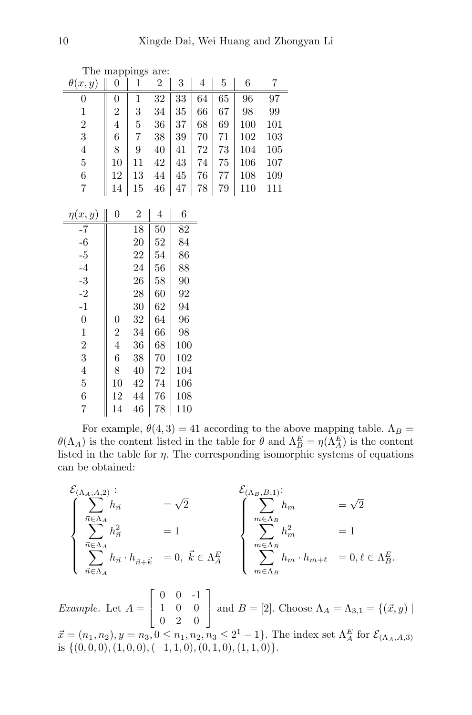|                  | The mappings are: |                |                |                  |    |             |                  |     |
|------------------|-------------------|----------------|----------------|------------------|----|-------------|------------------|-----|
| $\theta(x,y)$    | $\boldsymbol{0}$  | 1              | $\overline{2}$ | $\boldsymbol{3}$ | 4  | $\mathbf 5$ | 6                | 7   |
| 0                | 0                 | 1              | 32             | 33               | 64 | 65          | $96\overline{)}$ | 97  |
| $\mathbf 1$      | $\overline{2}$    | 3              | 34             | 35               | 66 | 67          | 98               | 99  |
| $\overline{c}$   | $\overline{4}$    | 5              | 36             | 37               | 68 | 69          | 100              | 101 |
| 3                | 6                 | 7              | 38             | 39               | 70 | 71          | 102              | 103 |
| $\overline{4}$   | 8                 | 9              | 40             | 41               | 72 | 73          | 104              | 105 |
| $\overline{5}$   | 10                | 11             | 42             | 43               | 74 | 75          | 106              | 107 |
| $\,6$            | 12                | 13             | 44             | 45               | 76 | 77          | 108              | 109 |
| 7                | 14                | 15             | 46             | 47               | 78 | 79          | 110              | 111 |
|                  |                   |                |                |                  |    |             |                  |     |
| $\eta(x,y)$      | $\boldsymbol{0}$  | $\overline{2}$ | 4              | 6                |    |             |                  |     |
| -7               |                   | 18             | 50             | 82               |    |             |                  |     |
| $-6$             |                   | 20             | 52             | 84               |    |             |                  |     |
| $-5$             |                   | 22             | 54             | 86               |    |             |                  |     |
| $-4$             |                   | 24             | 56             | 88               |    |             |                  |     |
| $\text{-}3$      |                   | 26             | 58             | 90               |    |             |                  |     |
| $-2$             |                   | 28             | 60             | 92               |    |             |                  |     |
| $-1$             |                   | 30             | 62             | 94               |    |             |                  |     |
| $\boldsymbol{0}$ | 0                 | 32             | 64             | 96               |    |             |                  |     |
| 1                | $\overline{2}$    | 34             | 66             | 98               |    |             |                  |     |
| $\overline{2}$   | $\overline{4}$    | 36             | 68             | 100              |    |             |                  |     |
| 3                | 6                 | 38             | 70             | 102              |    |             |                  |     |
| $\overline{4}$   | 8                 | 40             | 72             | 104              |    |             |                  |     |
| $\overline{5}$   | 10                | 42             | 74             | 106              |    |             |                  |     |
| 6                | 12                | 44             | 76             | 108              |    |             |                  |     |
| 7                | 14                | 46             | 78             | 110              |    |             |                  |     |

For example,  $\theta(4,3) = 41$  according to the above mapping table.  $\Lambda_B =$  $\theta(\Lambda_A)$  is the content listed in the table for  $\theta$  and  $\Lambda_B^E = \eta(\Lambda_A^E)$  is the content listed in the table for  $\eta$ . The corresponding isomorphic systems of equations can be obtained:

$$
\begin{cases}\n\sum_{\vec{n}\in\Lambda_A} h_{\vec{n}} & =\sqrt{2} \\
\sum_{\vec{n}\in\Lambda_A} h_{\vec{n}} & =1\n\end{cases}\n\begin{cases}\n\sum_{\vec{n}\in\Lambda_B} h_m & =\sqrt{2} \\
\sum_{\vec{n}\in\Lambda_A} h_{\vec{n}} \cdot h_{\vec{n}+\vec{k}} & =0, \ \vec{k}\in\Lambda_A^E\n\end{cases}\n\begin{cases}\n\sum_{m\in\Lambda_B} h_m & =\sqrt{2} \\
\sum_{m\in\Lambda_B} h_m^2 & =1\n\end{cases}\n=1
$$

Example. Let  $A =$  $\lceil$  $\overline{\phantom{a}}$ 0 0 -1 1 0 0 0 2 0 1 and  $B = [2]$ . Choose  $\Lambda_A = \Lambda_{3,1} = \{(\vec{x}, y) \mid \vec{x}\}$  $\vec{x} = (n_1, n_2), y = n_3, 0 \le n_1, n_2, n_3 \le 2^1 - 1$ . The index set  $\Lambda_A^E$  for  $\mathcal{E}_{(\Lambda_A, A, 3)}$ is  $\{(0, 0, 0), (1, 0, 0), (-1, 1, 0), (0, 1, 0), (1, 1, 0)\}.$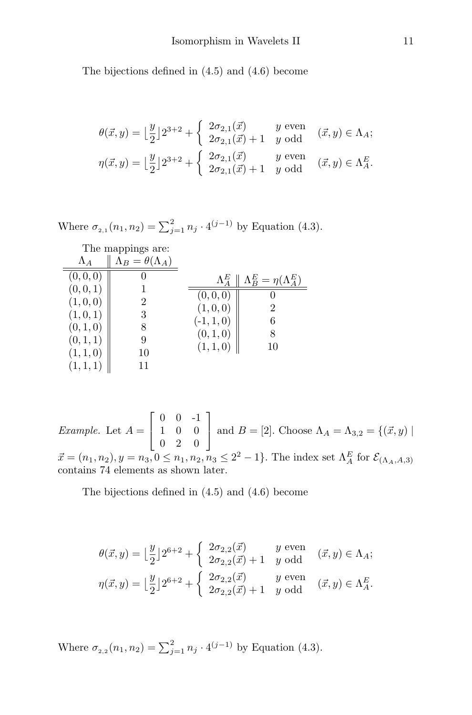The bijections defined in (4.5) and (4.6) become

$$
\theta(\vec{x}, y) = \left\lfloor \frac{y}{2} \right\rfloor 2^{3+2} + \begin{cases} 2\sigma_{2,1}(\vec{x}) & y \text{ even} \\ 2\sigma_{2,1}(\vec{x}) + 1 & y \text{ odd} \end{cases} (\vec{x}, y) \in \Lambda_A; \eta(\vec{x}, y) = \left\lfloor \frac{y}{2} \right\rfloor 2^{3+2} + \begin{cases} 2\sigma_{2,1}(\vec{x}) & y \text{ even} \\ 2\sigma_{2,1}(\vec{x}) + 1 & y \text{ odd} \end{cases} (\vec{x}, y) \in \Lambda_A^E.
$$

Where 
$$
\sigma_{2,1}(n_1, n_2) = \sum_{j=1}^2 n_j \cdot 4^{(j-1)}
$$
 by Equation (4.3).

|             | The mappings are:               |                          |                                   |
|-------------|---------------------------------|--------------------------|-----------------------------------|
| $\Lambda_A$ | $\Lambda_B = \theta(\Lambda_A)$ |                          |                                   |
| (0,0,0]     |                                 | $\Lambda_4^E$            | $\Lambda_B^E = \eta(\Lambda_A^E)$ |
| (0,0,1)     |                                 | $\cup$ , $\cup$ , $\cup$ |                                   |
| (1, 0, 0)   | 2                               | (1,0,0)                  | 2                                 |
| (1, 0, 1)   | 3                               | $(-1, 1, 0)$             | 6                                 |
| (0,1,0)     | 8                               | (0, 1, 0)                | 8                                 |
| (0, 1, 1)   | 9                               | (1, 1, 0)                | 10                                |
| (1, 1, 0)   | 10                              |                          |                                   |
| (1,1,1)     | 11                              |                          |                                   |

*Example.* Let  $A =$  $\sqrt{ }$  $\overline{\phantom{a}}$ 0 0 -1 1 0 0 0 2 0 1 and  $B = [2]$ . Choose  $\Lambda_A = \Lambda_{3,2} = \{(\vec{x}, y) \mid \vec{x}\}$  $\vec{x} = (n_1, n_2), y = n_3, 0 \le n_1, n_2, n_3 \le 2^2 - 1$ . The index set  $\Lambda_A^E$  for  $\mathcal{E}_{(\Lambda_A, A, 3)}$ contains 74 elements as shown later.

The bijections defined in (4.5) and (4.6) become

$$
\theta(\vec{x}, y) = \left\lfloor \frac{y}{2} \right\rfloor 2^{6+2} + \begin{cases} 2\sigma_{2,2}(\vec{x}) & y \text{ even} \\ 2\sigma_{2,2}(\vec{x}) + 1 & y \text{ odd} \end{cases} (\vec{x}, y) \in \Lambda_A;
$$
  

$$
\eta(\vec{x}, y) = \left\lfloor \frac{y}{2} \right\rfloor 2^{6+2} + \begin{cases} 2\sigma_{2,2}(\vec{x}) & y \text{ even} \\ 2\sigma_{2,2}(\vec{x}) + 1 & y \text{ odd} \end{cases} (\vec{x}, y) \in \Lambda_A^E.
$$

Where  $\sigma_{2,2}(n_1, n_2) = \sum_{j=1}^2 n_j \cdot 4^{(j-1)}$  by Equation (4.3).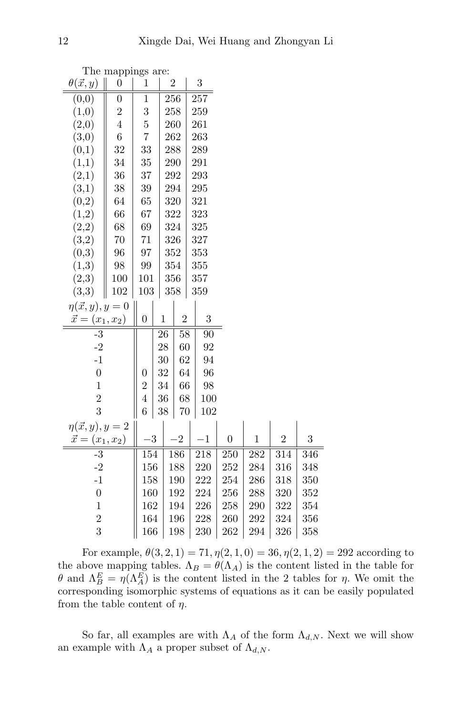| The mappings are:         |                  |                  |             |                |  |           |                  |                  |                |     |
|---------------------------|------------------|------------------|-------------|----------------|--|-----------|------------------|------------------|----------------|-----|
| $\theta(\vec{x},y)$       | $\boldsymbol{0}$ | $\mathbf 1$      |             | $\overline{2}$ |  | 3         |                  |                  |                |     |
| (0,0)                     | $\boldsymbol{0}$ | $\mathbf 1$      |             | 256            |  | 257       |                  |                  |                |     |
| (1,0)                     | $\overline{c}$   | 3                |             | 258            |  | 259       |                  |                  |                |     |
| (2,0)                     | $\overline{4}$   | $\overline{5}$   |             | 260            |  | 261       |                  |                  |                |     |
| (3,0)                     | $\overline{6}$   | 7                |             | 262            |  | 263       |                  |                  |                |     |
| (0,1)                     | 32               | 33               |             | 288            |  | 289       |                  |                  |                |     |
| (1,1)                     | 34               | 35               |             | 290            |  | 291       |                  |                  |                |     |
| (2,1)                     | 36               | 37               |             | 292            |  | 293       |                  |                  |                |     |
| (3,1)                     | 38               | 39               |             | 294            |  | 295       |                  |                  |                |     |
| (0,2)                     | 64               | 65               |             | 320            |  | 321       |                  |                  |                |     |
| (1,2)                     | 66               | 67               |             | 322            |  | 323       |                  |                  |                |     |
| (2,2)                     | 68               | 69               |             | 324            |  | 325       |                  |                  |                |     |
| (3,2)                     | 70               | 71               |             | 326            |  | 327       |                  |                  |                |     |
| (0,3)                     | 96               | 97               |             | 352            |  | 353       |                  |                  |                |     |
| (1,3)                     | 98               | 99               |             | 354            |  | 355       |                  |                  |                |     |
| (2,3)                     | 100              | 101              |             | 356            |  | 357       |                  |                  |                |     |
| (3,3)                     | 102              | 103              |             | 358            |  | $359\,$   |                  |                  |                |     |
| $\eta(\vec{x}, y), y = 0$ |                  |                  |             |                |  |           |                  |                  |                |     |
| $\vec{x} =$               | $(x_1, x_2)$     | $\boldsymbol{0}$ | $\mathbf 1$ | $\overline{2}$ |  | 3         |                  |                  |                |     |
| $-3$                      |                  |                  | 26          | 58             |  | 90        |                  |                  |                |     |
| $-2$                      |                  |                  | 28          | 60             |  | 92        |                  |                  |                |     |
| $-1$                      |                  |                  | 30          | 62             |  | 94        |                  |                  |                |     |
| $\overline{0}$            |                  | $\boldsymbol{0}$ | 32          | 64             |  | 96        |                  |                  |                |     |
| $\mathbf{1}$              |                  | $\overline{2}$   | 34          | 66             |  | 98        |                  |                  |                |     |
| $\overline{2}$            |                  | $\overline{4}$   | 36          | 68             |  | 100       |                  |                  |                |     |
| 3                         |                  | 6                | 38          | $70\,$         |  | 102       |                  |                  |                |     |
| $\eta(\vec{x}, y), y = 2$ |                  |                  |             |                |  |           |                  |                  |                |     |
| $\vec{x} = (x_1, x_2)$    |                  |                  | 3           | $\overline{2}$ |  | $\cdot 1$ | $\boldsymbol{0}$ | $\,1$            | $\overline{2}$ | 3   |
| $-3$                      |                  | 154              |             | 186            |  | 218       | 250              | $\overline{282}$ | 314            | 346 |
| $-2$                      |                  | 156              |             | 188            |  | 220       | 252              | 284              | 316            | 348 |
| $-1$                      |                  | 158              |             | 190            |  | 222       | $254\,$          | 286              | 318            | 350 |
| $\boldsymbol{0}$          |                  | 160              |             | 192            |  | 224       | 256              | 288              | 320            | 352 |
| $\mathbf 1$               |                  | 162              |             | 194            |  | 226       | 258              | 290              | 322            | 354 |
| $\overline{2}$            |                  | 164              |             | 196            |  | 228       | 260              | 292              | 324            | 356 |
| 3                         |                  | 166              |             | 198            |  | 230       | 262              | 294              | 326            | 358 |

For example,  $\theta(3, 2, 1) = 71, \eta(2, 1, 0) = 36, \eta(2, 1, 2) = 292$  according to the above mapping tables.  $\Lambda_B = \theta(\Lambda_A)$  is the content listed in the table for θ and  $Λ<sup>E</sup><sub>B</sub> = η(Λ<sup>E</sup><sub>A</sub>)$  is the content listed in the 2 tables for η. We omit the corresponding isomorphic systems of equations as it can be easily populated from the table content of  $\eta$ .

So far, all examples are with  $\Lambda_A$  of the form  $\Lambda_{d,N}$ . Next we will show an example with  $\Lambda_A$  a proper subset of  $\Lambda_{d,N}$ .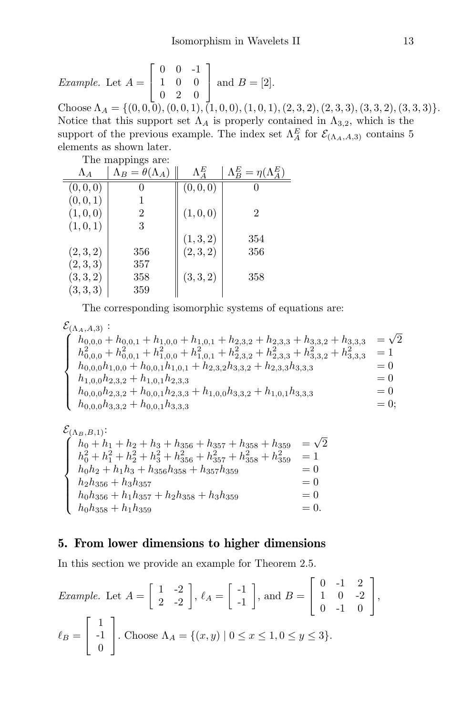*Example.* Let  $A =$  $\sqrt{ }$  $\overline{1}$ 0 0 -1 1 0 0 0 2 0 1 | and  $B = [2]$ . Choose  $\Lambda_A = \{(0, 0, 0), (0, 0, 1), (1, 0, 0), (1, 0, 1), (2, 3, 2), (2, 3, 3), (3, 3, 2), (3, 3, 3)\}.$ Notice that this support set  $\Lambda_A$  is properly contained in  $\Lambda_{3,2}$ , which is the support of the previous example. The index set  $\Lambda_A^E$  for  $\mathcal{E}_{(\Lambda_A,A,3)}$  contains 5 elements as shown later.

The mappings are:

| THE mappings are. |                                 |               |                                   |  |  |  |  |  |
|-------------------|---------------------------------|---------------|-----------------------------------|--|--|--|--|--|
| $\Lambda_A$       | $\Lambda_B = \theta(\Lambda_A)$ | $\Lambda_4^E$ | $\Lambda_B^E = \eta(\Lambda_A^E)$ |  |  |  |  |  |
| (0,0,0)           |                                 | (0,0,0)       |                                   |  |  |  |  |  |
| (0, 0, 1)         |                                 |               |                                   |  |  |  |  |  |
| (1,0,0)           | 2                               | (1,0,0)       | $\mathfrak{D}$                    |  |  |  |  |  |
| (1,0,1)           | 3                               |               |                                   |  |  |  |  |  |
|                   |                                 | (1, 3, 2)     | 354                               |  |  |  |  |  |
| (2,3,2)           | 356                             | (2,3,2)       | 356                               |  |  |  |  |  |
| (2,3,3)           | 357                             |               |                                   |  |  |  |  |  |
| (3,3,2)           | 358                             | (3,3,2)       | 358                               |  |  |  |  |  |
| (3,3,3)           | 359                             |               |                                   |  |  |  |  |  |

The corresponding isomorphic systems of equations are:

 $\mathcal{E}_{(\Lambda_A, A, 3)}$ :  $\mathcal{E}_{(\Lambda_A, A, 3)}: \ \{h_{0.0.0}+\}$  $\int$  $\overline{\mathcal{L}}$  $h_{0,0,0} + h_{0,0,1} + h_{1,0,0} + h_{1,0,1} + h_{2,3,2} + h_{2,3,3} + h_{3,3,2} + h_{3,3,3} =$ √  $\overline{c}$  $h_{0,0,0}^2 + h_{0,0,1}^2 + h_{1,0,0}^2 + h_{1,0,1}^2 + h_{2,3,2}^2 + h_{2,3,3}^2 + h_{3,3,2}^2 + h_{3,3,3}^2 = 1$  $h_{0,0,0}h_{1,0,0} + h_{0,0,1}h_{1,0,1} + h_{2,3,2}h_{3,3,2} + h_{2,3,3}h_{3,3,3} = 0$  $h_{1,0,0}h_{2,3,2} + h_{1,0,1}h_{2,3,3} = 0$  $h_{0,0,0}h_{2,3,2} + h_{0,0,1}h_{2,3,3} + h_{1,0,0}h_{3,3,2} + h_{1,0,1}h_{3,3,3} = 0$  $h_{0,0,0}h_{3,3,2} + h_{0,0,1}h_{3,3,3} = 0;$ 

 $\mathcal{E}_{(\Lambda_B,B,1)}$ :<br>  $\int h_0 + h$  $\int$  $\overline{\mathcal{L}}$  $h_0 + h_1 + h_2 + h_3 + h_{356} + h_{357} + h_{358} + h_{359} =$ √ 2  $h_0^2 + h_1^2 + h_2^2 + h_3^2 + h_{356}^2 + h_{357}^2 + h_{358}^2 + h_{359}^2 = 1$  $h_0h_2 + h_1h_3 + h_{356}h_{358} + h_{357}h_{359} = 0$  $h_2h_{356} + h_3h_{357} = 0$  $h_0h_{356} + h_1h_{357} + h_2h_{358} + h_3h_{359} = 0$  $h_0h_{358} + h_1h_{359} = 0.$ 

#### 5. From lower dimensions to higher dimensions

In this section we provide an example for Theorem 2.5.

*Example.* Let 
$$
A = \begin{bmatrix} 1 & -2 \ 2 & -2 \end{bmatrix}
$$
,  $\ell_A = \begin{bmatrix} -1 \ -1 \end{bmatrix}$ , and  $B = \begin{bmatrix} 0 & -1 & 2 \ 1 & 0 & -2 \ 0 & -1 & 0 \end{bmatrix}$ ,  
\n $\ell_B = \begin{bmatrix} 1 \ -1 \ 0 \end{bmatrix}$ . Choose  $\Lambda_A = \{(x, y) | 0 \le x \le 1, 0 \le y \le 3\}$ .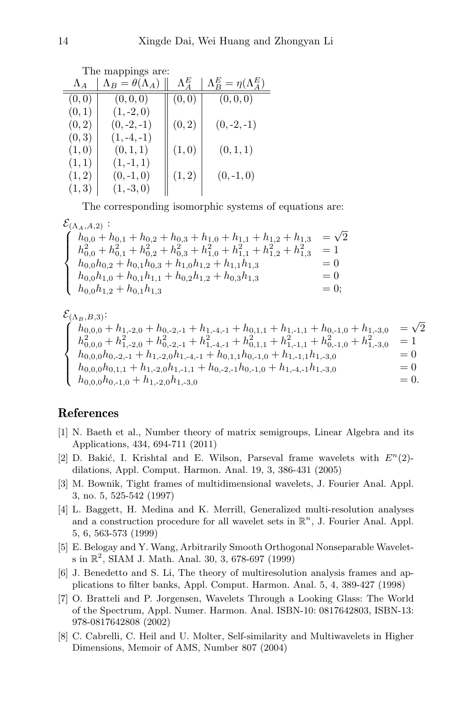| The mappings are: |                                 |               |                                   |  |  |  |  |
|-------------------|---------------------------------|---------------|-----------------------------------|--|--|--|--|
| $\Lambda_A$       | $\Lambda_B = \theta(\Lambda_A)$ | $\Lambda^E_A$ | $\Lambda_B^E = \eta(\Lambda_A^E)$ |  |  |  |  |
| (0,0)             | (0,0,0)                         | (0, 0)        | (0,0,0)                           |  |  |  |  |
| (0,1)             | $(1, -2, 0)$                    |               |                                   |  |  |  |  |
| (0, 2)            | $(0,-2,-1)$                     | (0, 2)        | $(0, -2, -1)$                     |  |  |  |  |
| (0, 3)            | $(1,-4,-1)$                     |               |                                   |  |  |  |  |
| (1,0)             | (0, 1, 1)                       | (1,0)         | (0,1,1)                           |  |  |  |  |
| (1,1)             | $(1,-1,1)$                      |               |                                   |  |  |  |  |
| (1, 2)            | $(0,-1,0)$                      | (1, 2)        | $(0,-1,0)$                        |  |  |  |  |
| (1, 3)            | $(1, -3, 0)$                    |               |                                   |  |  |  |  |

The corresponding isomorphic systems of equations are:

 $\mathcal{E}_{(\Lambda_A,A,2)}: \ \left( h_{0.0} + \right)$ 

| $\mathcal{L}(\Lambda_A, A, 2)$ .                                                                |             |
|-------------------------------------------------------------------------------------------------|-------------|
| $h_{0,0} + h_{0,1} + h_{0,2} + h_{0,3} + h_{1,0} + h_{1,1} + h_{1,2} + h_{1,3}$                 | $=\sqrt{2}$ |
| $h_{0,0}^2 + h_{0,1}^2 + h_{0,2}^2 + h_{0,3}^2 + h_{1,0}^2 + h_{1,1}^2 + h_{1,2}^2 + h_{1,3}^2$ | $=1$        |
| $h_{0,0}h_{0,2} + h_{0,1}h_{0,3} + h_{1,0}h_{1,2} + h_{1,1}h_{1,3}$                             | $= 0$       |
| $h_{0,0}h_{1,0} + h_{0,1}h_{1,1} + h_{0,2}h_{1,2} + h_{0,3}h_{1,3}$                             | $= 0$       |
| $h_{0,0}h_{1,2}+h_{0,1}h_{1,3}$                                                                 | $= 0$       |

$$
\begin{cases}\n\mathcal{E}_{(\Lambda_B,B,3)}: \\
h_{0,0,0} + h_{1,-2,0} + h_{0,-2,-1} + h_{1,-4,-1} + h_{0,1,1} + h_{1,-1,1} + h_{0,-1,0} + h_{1,-3,0} &= \sqrt{2} \\
h_{0,0,0}^2 + h_{1,-2,0}^2 + h_{0,-2,-1}^2 + h_{1,-4,-1}^2 + h_{0,1,1}^2 + h_{1,-1,1}^2 + h_{0,-1,0}^2 + h_{1,-3,0}^2 &= 1 \\
h_{0,0,0}h_{0,-2,-1} + h_{1,-2,0}h_{1,-4,-1} + h_{0,1,1}h_{0,-1,0} + h_{1,-1,1}h_{1,-3,0} &= 0 \\
h_{0,0,0}h_{0,1,1} + h_{1,-2,0}h_{1,-1,1} + h_{0,-2,-1}h_{0,-1,0} + h_{1,-4,-1}h_{1,-3,0} &= 0 \\
h_{0,0,0}h_{0,-1,0} + h_{1,-2,0}h_{1,-3,0} &= 0.\n\end{cases}
$$

## References

- [1] N. Baeth et al., Number theory of matrix semigroups, Linear Algebra and its Applications, 434, 694-711 (2011)
- [2] D. Bakić, I. Krishtal and E. Wilson, Parseval frame wavelets with  $E^{n}(2)$ dilations, Appl. Comput. Harmon. Anal. 19, 3, 386-431 (2005)
- [3] M. Bownik, Tight frames of multidimensional wavelets, J. Fourier Anal. Appl. 3, no. 5, 525-542 (1997)
- [4] L. Baggett, H. Medina and K. Merrill, Generalized multi-resolution analyses and a construction procedure for all wavelet sets in  $\mathbb{R}^n$ , J. Fourier Anal. Appl. 5, 6, 563-573 (1999)
- [5] E. Belogay and Y. Wang, Arbitrarily Smooth Orthogonal Nonseparable Wavelets in  $\mathbb{R}^2$ , SIAM J. Math. Anal. 30, 3, 678-697 (1999)
- [6] J. Benedetto and S. Li, The theory of multiresolution analysis frames and applications to filter banks, Appl. Comput. Harmon. Anal. 5, 4, 389-427 (1998)
- [7] O. Bratteli and P. Jorgensen, Wavelets Through a Looking Glass: The World of the Spectrum, Appl. Numer. Harmon. Anal. ISBN-10: 0817642803, ISBN-13: 978-0817642808 (2002)
- [8] C. Cabrelli, C. Heil and U. Molter, Self-similarity and Multiwavelets in Higher Dimensions, Memoir of AMS, Number 807 (2004)